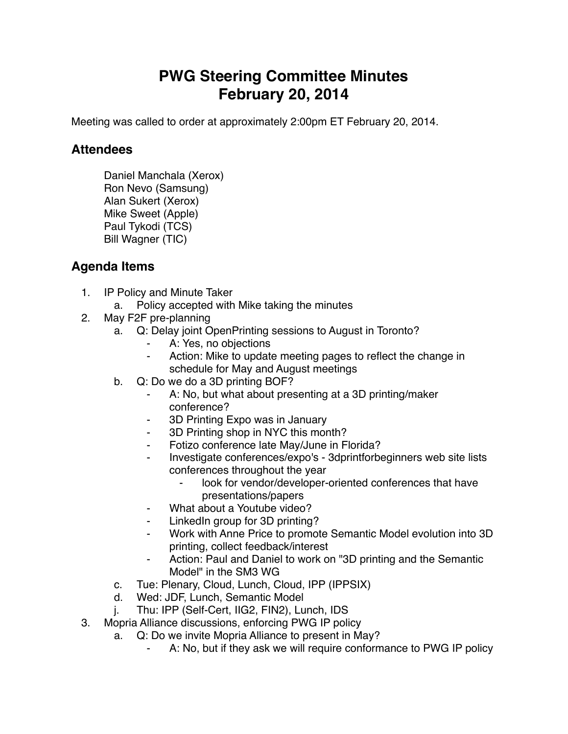## **PWG Steering Committee Minutes February 20, 2014**

Meeting was called to order at approximately 2:00pm ET February 20, 2014.

## **Attendees**

Daniel Manchala (Xerox) Ron Nevo (Samsung) Alan Sukert (Xerox) Mike Sweet (Apple) Paul Tykodi (TCS) Bill Wagner (TIC)

## **Agenda Items**

- 1. IP Policy and Minute Taker
	- a. Policy accepted with Mike taking the minutes
- 2. May F2F pre-planning
	- a. Q: Delay joint OpenPrinting sessions to August in Toronto?
		- A: Yes, no objections
		- ⁃ Action: Mike to update meeting pages to reflect the change in schedule for May and August meetings
	- b. Q: Do we do a 3D printing BOF?
		- ⁃ A: No, but what about presenting at a 3D printing/maker conference?
		- 3D Printing Expo was in January
		- ⁃ 3D Printing shop in NYC this month?
		- Fotizo conference late May/June in Florida?
		- ⁃ Investigate conferences/expo's 3dprintforbeginners web site lists conferences throughout the year
			- look for vendor/developer-oriented conferences that have presentations/papers
		- What about a Youtube video?
		- LinkedIn group for 3D printing?
		- Work with Anne Price to promote Semantic Model evolution into 3D printing, collect feedback/interest
		- Action: Paul and Daniel to work on "3D printing and the Semantic Model" in the SM3 WG
	- c. Tue: Plenary, Cloud, Lunch, Cloud, IPP (IPPSIX)
	- d. Wed: JDF, Lunch, Semantic Model
	- j. Thu: IPP (Self-Cert, IIG2, FIN2), Lunch, IDS
- 3. Mopria Alliance discussions, enforcing PWG IP policy
	- a. Q: Do we invite Mopria Alliance to present in May?
		- A: No, but if they ask we will require conformance to PWG IP policy